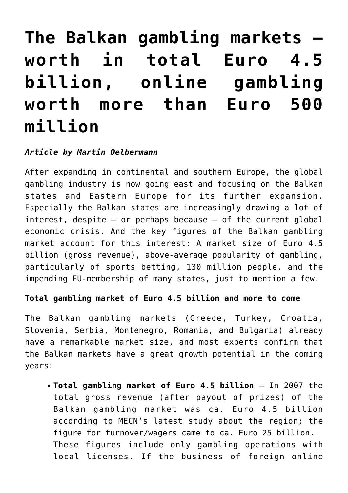# **[The Balkan gambling markets –](https://www.isa-guide.de/english-news/articles/24498.html) [worth in total Euro 4.5](https://www.isa-guide.de/english-news/articles/24498.html) [billion, online gambling](https://www.isa-guide.de/english-news/articles/24498.html) [worth more than Euro 500](https://www.isa-guide.de/english-news/articles/24498.html) [million](https://www.isa-guide.de/english-news/articles/24498.html)**

## *Article by Martin Oelbermann*

After expanding in continental and southern Europe, the global gambling industry is now going east and focusing on the Balkan states and Eastern Europe for its further expansion. Especially the Balkan states are increasingly drawing a lot of interest, despite  $-$  or perhaps because  $-$  of the current global economic crisis. And the key figures of the Balkan gambling market account for this interest: A market size of Euro 4.5 billion (gross revenue), above-average popularity of gambling, particularly of sports betting, 130 million people, and the impending EU-membership of many states, just to mention a few.

### **Total gambling market of Euro 4.5 billion and more to come**

The Balkan gambling markets (Greece, Turkey, Croatia, Slovenia, Serbia, Montenegro, Romania, and Bulgaria) already have a remarkable market size, and most experts confirm that the Balkan markets have a great growth potential in the coming years:

**Total gambling market of Euro 4.5 billion** – In 2007 the total gross revenue (after payout of prizes) of the Balkan gambling market was ca. Euro 4.5 billion according to MECN's latest study about the region; the figure for turnover/wagers came to ca. Euro 25 billion. These figures include only gambling operations with local licenses. If the business of foreign online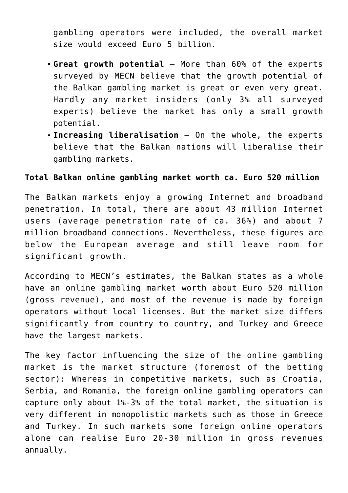gambling operators were included, the overall market size would exceed Euro 5 billion.

- **Great growth potential** More than 60% of the experts surveyed by MECN believe that the growth potential of the Balkan gambling market is great or even very great. Hardly any market insiders (only 3% all surveyed experts) believe the market has only a small growth potential.
- **Increasing liberalisation** On the whole, the experts believe that the Balkan nations will liberalise their gambling markets.

#### **Total Balkan online gambling market worth ca. Euro 520 million**

The Balkan markets enjoy a growing Internet and broadband penetration. In total, there are about 43 million Internet users (average penetration rate of ca. 36%) and about 7 million broadband connections. Nevertheless, these figures are below the European average and still leave room for significant growth.

According to MECN's estimates, the Balkan states as a whole have an online gambling market worth about Euro 520 million (gross revenue), and most of the revenue is made by foreign operators without local licenses. But the market size differs significantly from country to country, and Turkey and Greece have the largest markets.

The key factor influencing the size of the online gambling market is the market structure (foremost of the betting sector): Whereas in competitive markets, such as Croatia, Serbia, and Romania, the foreign online gambling operators can capture only about 1%-3% of the total market, the situation is very different in monopolistic markets such as those in Greece and Turkey. In such markets some foreign online operators alone can realise Euro 20-30 million in gross revenues annually.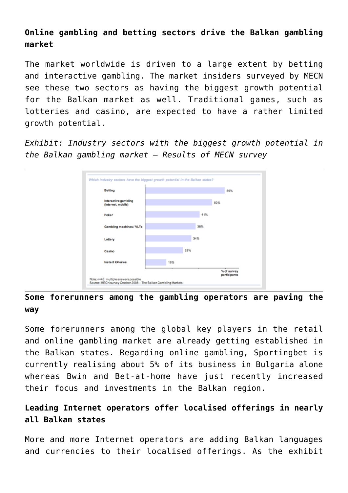# **Online gambling and betting sectors drive the Balkan gambling market**

The market worldwide is driven to a large extent by betting and interactive gambling. The market insiders surveyed by MECN see these two sectors as having the biggest growth potential for the Balkan market as well. Traditional games, such as lotteries and casino, are expected to have a rather limited growth potential.

*Exhibit: Industry sectors with the biggest growth potential in the Balkan gambling market – Results of MECN survey*



## **Some forerunners among the gambling operators are paving the way**

Some forerunners among the global key players in the retail and online gambling market are already getting established in the Balkan states. Regarding online gambling, Sportingbet is currently realising about 5% of its business in Bulgaria alone whereas Bwin and Bet-at-home have just recently increased their focus and investments in the Balkan region.

# **Leading Internet operators offer localised offerings in nearly all Balkan states**

More and more Internet operators are adding Balkan languages and currencies to their localised offerings. As the exhibit